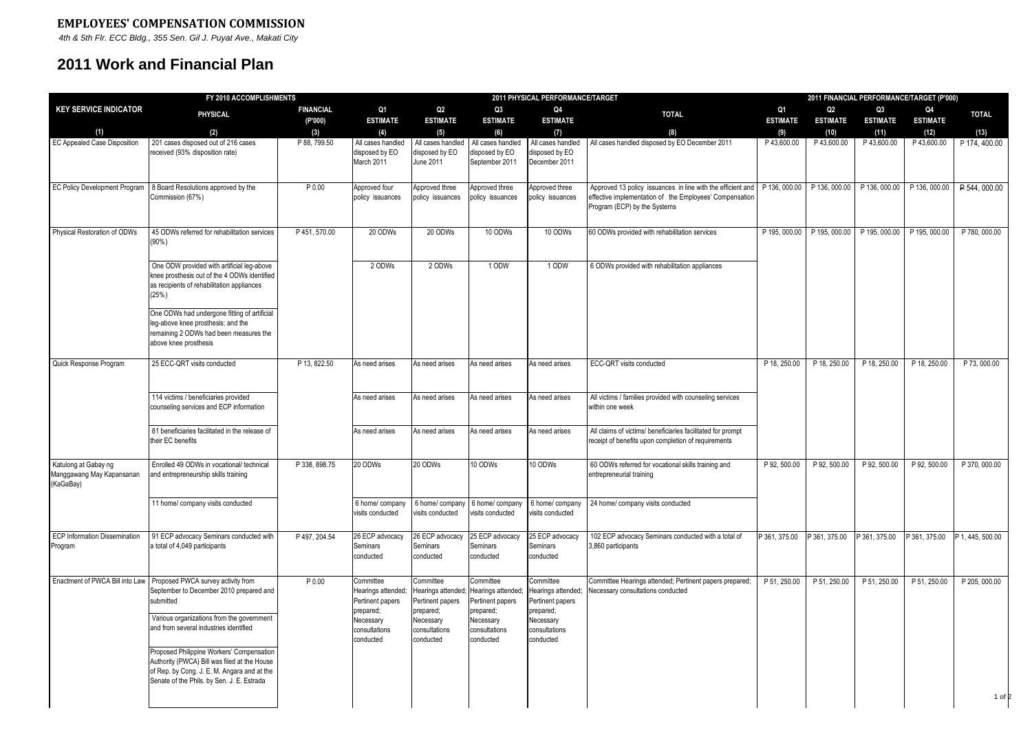## **EMPLOYEES' COMPENSATION COMMISSION**

 *4th & 5th Flr. ECC Bldg., 355 Sen. Gil J. Puyat Ave., Makati City*

## **2011 Work and Financial Plan**

| FY 2010 ACCOMPLISHMENTS                                        |                                                                                                                                                                                        |                             | 2011 PHYSICAL PERFORMANCE/TARGET                                 |                                                                  |                                                                                                                                                                                                                                                                        |                                                             |                                                                                                                                                        | 2011 FINANCIAL PERFORMANCE/TARGET (P'000) |                                   |                                   |                       |                       |  |
|----------------------------------------------------------------|----------------------------------------------------------------------------------------------------------------------------------------------------------------------------------------|-----------------------------|------------------------------------------------------------------|------------------------------------------------------------------|------------------------------------------------------------------------------------------------------------------------------------------------------------------------------------------------------------------------------------------------------------------------|-------------------------------------------------------------|--------------------------------------------------------------------------------------------------------------------------------------------------------|-------------------------------------------|-----------------------------------|-----------------------------------|-----------------------|-----------------------|--|
| <b>KEY SERVICE INDICATOR</b>                                   | PHYSICAL                                                                                                                                                                               | <b>FINANCIAL</b><br>(P'000) | Q1<br><b>ESTIMATE</b>                                            | Q <sub>2</sub><br><b>ESTIMATE</b>                                | Q <sub>3</sub><br><b>ESTIMATE</b>                                                                                                                                                                                                                                      | Q4<br><b>ESTIMATE</b>                                       | <b>TOTAL</b>                                                                                                                                           | Q1<br><b>ESTIMATE</b>                     | Q <sub>2</sub><br><b>ESTIMATE</b> | Q <sub>3</sub><br><b>ESTIMATE</b> | Q4<br><b>ESTIMATE</b> | <b>TOTAL</b>          |  |
| (1)<br>EC Appealed Case Disposition                            | (2)<br>201 cases disposed out of 216 cases<br>received (93% disposition rate)                                                                                                          | (3)<br>P 88, 799.50         | (4)<br>All cases handled<br>disposed by EO<br>March 2011         | (5)<br>All cases handled<br>disposed by EO<br><b>June 2011</b>   | (6)<br>All cases handled<br>disposed by EO<br>September 2011                                                                                                                                                                                                           | (7)<br>All cases handled<br>disposed by EO<br>December 2011 | (8)<br>All cases handled disposed by EO December 2011                                                                                                  | (9)<br>P43,600.00                         | (10)<br>P43,600.00                | (11)<br>P43,600.00                | (12)<br>P43,600.00    | (13)<br>P 174, 400.00 |  |
| <b>EC Policy Development Program</b>                           | 8 Board Resolutions approved by the<br>Commission (67%)                                                                                                                                | P 0.00                      | Approved four<br>policy issuances                                | Approved three<br>policy issuances                               | Approved three<br>policy issuances                                                                                                                                                                                                                                     | Approved three<br>policy issuances                          | Approved 13 policy issuances in line with the efficient and<br>effective implementation of the Employees' Compensation<br>Program (ECP) by the Systems | P 136, 000.00 P 136, 000.00               |                                   | P 136, 000.00 P 136, 000.00       |                       | P 544, 000.00         |  |
| Physical Restoration of ODWs                                   | 45 ODWs referred for rehabilitation services<br>$(90\%)$                                                                                                                               | P 451, 570.00               | 20 ODWs                                                          | 20 ODWs                                                          | 10 ODWs                                                                                                                                                                                                                                                                | 10 ODWs                                                     | 60 ODWs provided with rehabilitation services                                                                                                          | P 195, 000.00                             | P 195, 000.00                     | P 195, 000.00 P 195, 000.00       |                       | P 780, 000.00         |  |
|                                                                | One ODW provided with artificial leg-above<br>knee prosthesis out of the 4 ODWs identified<br>as recipients of rehabilitation appliances<br>(25%)                                      |                             | 2 ODWs                                                           | 2 ODWs                                                           | 1 ODW                                                                                                                                                                                                                                                                  | 1 ODW                                                       | 6 ODWs provided with rehabilitation appliances                                                                                                         |                                           |                                   |                                   |                       |                       |  |
|                                                                | One ODWs had undergone fitting of artificial<br>leg-above knee prosthesis; and the<br>remaining 2 ODWs had been measures the<br>above knee prosthesis                                  |                             |                                                                  |                                                                  |                                                                                                                                                                                                                                                                        |                                                             |                                                                                                                                                        |                                           |                                   |                                   |                       |                       |  |
| Quick Response Program                                         | 25 ECC-QRT visits conducted                                                                                                                                                            | P 13, 822.50                | As need arises                                                   | As need arises                                                   | As need arises                                                                                                                                                                                                                                                         | As need arises                                              | ECC-QRT visits conducted                                                                                                                               | P 18, 250.00                              | P 18, 250.00                      | P 18, 250.00                      | P 18, 250.00          | P 73, 000.00          |  |
|                                                                | 114 victims / beneficiaries provided<br>counseling services and ECP information                                                                                                        |                             | As need arises                                                   | As need arises                                                   | As need arises                                                                                                                                                                                                                                                         | As need arises                                              | All victims / families provided with counseling services<br>within one week                                                                            |                                           |                                   |                                   |                       |                       |  |
|                                                                | 81 beneficiaries facilitated in the release of<br>their EC benefits                                                                                                                    |                             | As need arises                                                   | As need arises                                                   | As need arises                                                                                                                                                                                                                                                         | As need arises                                              | All claims of victims/ beneficiaries facilitated for prompt<br>receipt of benefits upon completion of requirements                                     |                                           |                                   |                                   |                       |                       |  |
| Katulong at Gabay ng<br>Manggawang May Kapansanan<br>(KaGaBay) | Enrolled 49 ODWs in vocational/ technical<br>and entrepreneurship skills training                                                                                                      | P 338, 898.75               | 20 ODWs                                                          | 20 ODWs                                                          | 10 ODWs                                                                                                                                                                                                                                                                | 10 ODWs                                                     | 60 ODWs referred for vocational skills training and<br>entrepreneurial training                                                                        | P 92, 500.00                              | P 92, 500.00                      | P 92, 500.00                      | P 92, 500.00          | P 370, 000.00         |  |
|                                                                | 11 home/ company visits conducted                                                                                                                                                      |                             | 6 home/ company<br>isits conducted                               | 6 home/ company<br>visits conducted                              | 6 home/company<br>isits conducted                                                                                                                                                                                                                                      | 6 home/ company<br>visits conducted                         | 24 home/ company visits conducted                                                                                                                      |                                           |                                   |                                   |                       |                       |  |
| <b>ECP Information Dissemination</b><br>Program                | 91 ECP advocacy Seminars conducted with<br>a total of 4,049 participants                                                                                                               | P 497, 204.54               | 26 ECP advocacy<br>Seminars<br>conducted                         | 26 ECP advocacy<br>Seminars<br>conducted                         | 25 ECP advocacv<br>Seminars<br>conducted                                                                                                                                                                                                                               | 25 ECP advocacy<br>Seminars<br>conducted                    | 102 ECP advocacy Seminars conducted with a total of<br>3,860 participants                                                                              | P 361, 375.00                             | P 361, 375.00                     | P 361, 375.00                     | P 361, 375.00         | P 1, 445, 500.00      |  |
|                                                                | Enactment of PWCA Bill into Law Proposed PWCA survey activity from<br>September to December 2010 prepared and<br>submitted                                                             | $P$ <sub>0.00</sub>         | Committee<br>learings attended;<br>Pertinent papers<br>prepared; | Committee<br>Hearings attended;<br>Pertinent papers<br>prepared; | Committee<br>Committee<br><b>Necessary consultations conducted</b><br>Hearings attended;<br>Hearings attended;<br>Pertinent papers<br>Pertinent papers<br>prepared;<br>prepared;<br>Necessary<br>Necessary<br>consultations<br>consultations<br>conducted<br>conducted | Committee Hearings attended; Pertinent papers prepared;     | P 51, 250.00                                                                                                                                           | P 51, 250.00                              | P 51, 250.00                      | P 51, 250.00                      | P 205, 000.00         |                       |  |
|                                                                | Various organizations from the government<br>and from several industries identified                                                                                                    |                             | Necessary<br>consultations<br>conducted                          | Necessary<br>consultations<br>conducted                          |                                                                                                                                                                                                                                                                        |                                                             |                                                                                                                                                        |                                           |                                   |                                   |                       |                       |  |
|                                                                | Proposed Philippine Workers' Compensation<br>Authority (PWCA) Bill was filed at the House<br>of Rep. by Cong. J. E. M. Angara and at the<br>Senate of the Phils. by Sen. J. E. Estrada |                             |                                                                  |                                                                  |                                                                                                                                                                                                                                                                        |                                                             |                                                                                                                                                        |                                           |                                   |                                   |                       | 1 of 2                |  |